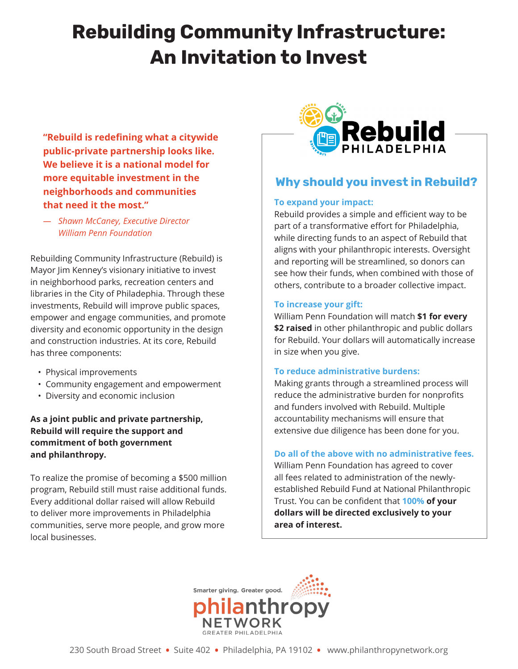# **Rebuilding Community Infrastructure: An Invitation to Invest**

**"Rebuild is redefining what a citywide public-private partnership looks like. We believe it is a national model for more equitable investment in the neighborhoods and communities that need it the most."**

*— Shawn McCaney, Executive Director William Penn Foundation*

Rebuilding Community Infrastructure (Rebuild) is Mayor Jim Kenney's visionary initiative to invest in neighborhood parks, recreation centers and libraries in the City of Philadephia. Through these investments, Rebuild will improve public spaces, empower and engage communities, and promote diversity and economic opportunity in the design and construction industries. At its core, Rebuild has three components:

- Physical improvements
- Community engagement and empowerment
- Diversity and economic inclusion

**As a joint public and private partnership, Rebuild will require the support and commitment of both government and philanthropy.** 

To realize the promise of becoming a \$500 million program, Rebuild still must raise additional funds. Every additional dollar raised will allow Rebuild to deliver more improvements in Philadelphia communities, serve more people, and grow more local businesses.



### **Why should you invest in Rebuild?**

### **To expand your impact:**

Rebuild provides a simple and efficient way to be part of a transformative effort for Philadelphia, while directing funds to an aspect of Rebuild that aligns with your philanthropic interests. Oversight and reporting will be streamlined, so donors can see how their funds, when combined with those of others, contribute to a broader collective impact.

### **To increase your gift:**

William Penn Foundation will match **\$1 for every \$2 raised** in other philanthropic and public dollars for Rebuild. Your dollars will automatically increase in size when you give.

### **To reduce administrative burdens:**

Making grants through a streamlined process will reduce the administrative burden for nonprofits and funders involved with Rebuild. Multiple accountability mechanisms will ensure that extensive due diligence has been done for you.

#### **Do all of the above with no administrative fees.**

William Penn Foundation has agreed to cover all fees related to administration of the newlyestablished Rebuild Fund at National Philanthropic Trust. You can be confident that **100% of your dollars will be directed exclusively to your area of interest.**